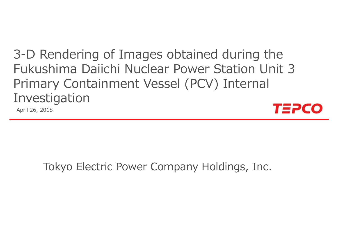3-D Rendering of Images obtained during the Fukushima Daiichi Nuclear Power Station Unit 3 Primary Containment Vessel (PCV) Internal Investigation

April 26, 2018



#### Tokyo Electric Power Company Holdings, Inc.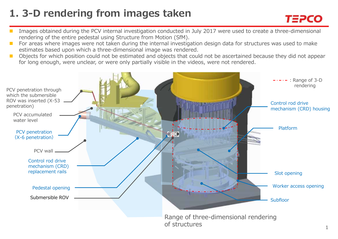## **1. 3-D rendering from images taken**

- Images obtained during the PCV internal investigation conducted in July 2017 were used to create a three-dimensional rendering of the entire pedestal using Structure from Motion (SfM).
- For areas where images were not taken during the internal investigation design data for structures was used to make estimates based upon which a three-dimensional image was rendered.
- Objects for which position could not be estimated and objects that could not be ascertained because they did not appear for long enough, were unclear, or were only partially visible in the videos, were not rendered.



TEPCO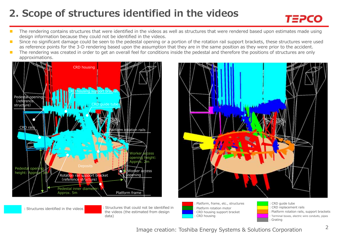## **2. Scope of structures identified in the videos**

- n. The rendering contains structures that were identified in the videos as well as structures that were rendered based upon estimates made using design information because they could not be identified in the videos.
- $\mathcal{L}_{\mathcal{A}}$  Since no significant damage could be seen to the pedestal opening or a portion of the rotation rail support brackets, these structures were used as reference points for the 3-D rendering based upon the assumption that they are in the same position as they were prior to the accident.
- **COL**  The rendering was created in order to get an overall feel for conditions inside the pedestal and therefore the positions of structures are only approximations.





:Structures identified in the videos

 :Structures that could not be identified in the videos (the estimated from design data)





:CRD replacement rails :Platform rotation rails, support brackets :Terminal boxes, electric wire conduits, pipes

Image creation: Toshiba Energy Systems & Solutions Corporation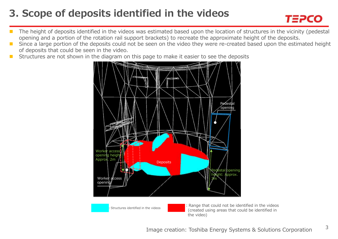## **3. Scope of deposits identified in the videos**



- The height of deposits identified in the videos was estimated based upon the location of structures in the vicinity (pedestal opening and a portion of the rotation rail support brackets) to recreate the approximate height of the deposits.
- $\mathcal{L}^{\mathcal{A}}$  Since a large portion of the deposits could not be seen on the video they were re-created based upon the estimated height of deposits that could be seen in the video.
- Structures are not shown in the diagram on this page to make it easier to see the deposits

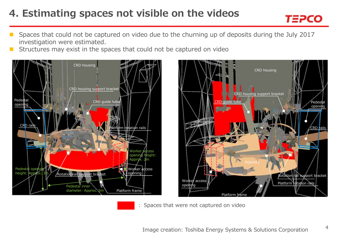# **4. Estimating spaces not visible on the videos**



- F Spaces that could not be captured on video due to the churning up of deposits during the July 2017 investigation were estimated.
- Structures may exist in the spaces that could not be captured on video





: Spaces that were not captured on video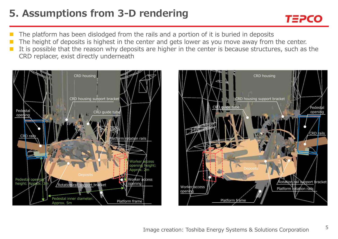#### **5. Assumptions from 3-D rendering**



- F The platform has been dislodged from the rails and a portion of it is buried in deposits
- The height of deposits is highest in the center and gets lower as you move away from the center.
- It is possible that the reason why deposits are higher in the center is because structures, such as the CRD replacer, exist directly underneath



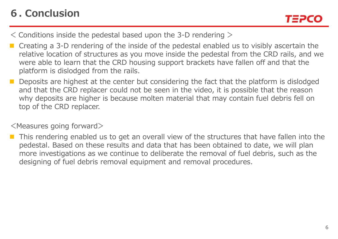# **6. Conclusion**

- $\leq$  Conditions inside the pedestal based upon the 3-D rendering  $\geq$
- Creating a 3-D rendering of the inside of the pedestal enabled us to visibly ascertain the relative location of structures as you move inside the pedestal from the CRD rails, and we were able to learn that the CRD housing support brackets have fallen off and that the platform is dislodged from the rails.
- ш Deposits are highest at the center but considering the fact that the platform is dislodged and that the CRD replacer could not be seen in the video, it is possible that the reason why deposits are higher is because molten material that may contain fuel debris fell on top of the CRD replacer.

#### <Measures going forward>

 This rendering enabled us to get an overall view of the structures that have fallen into the pedestal. Based on these results and data that has been obtained to date, we will plan more investigations as we continue to deliberate the removal of fuel debris, such as the designing of fuel debris removal equipment and removal procedures.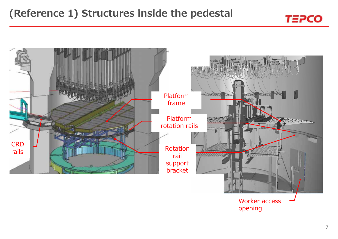



7